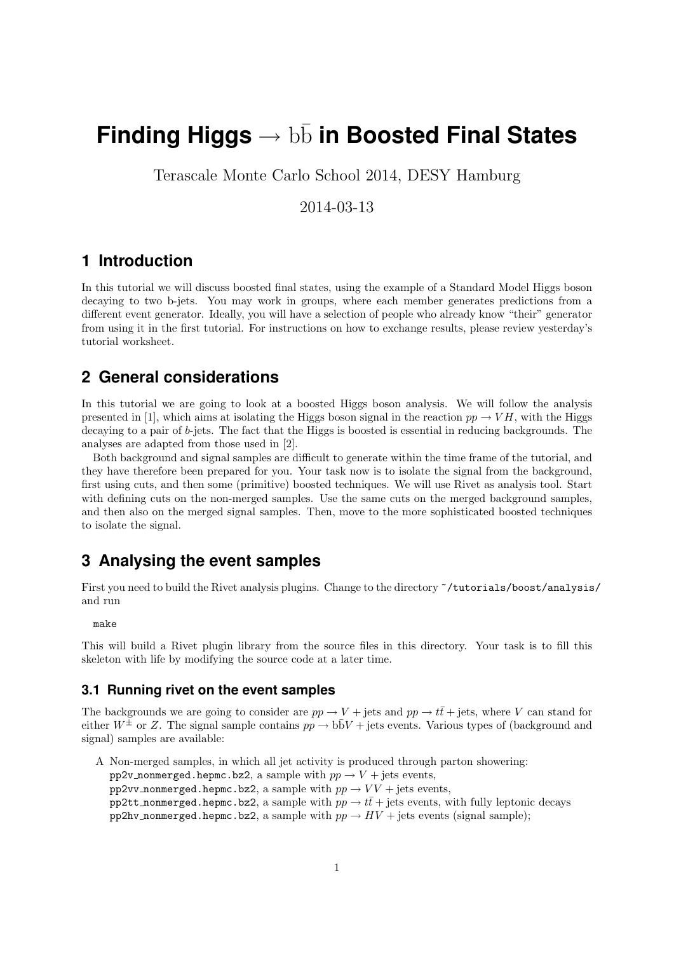# **Finding Higgs → bb in Boosted Final States**

Terascale Monte Carlo School 2014, DESY Hamburg

2014-03-13

# **1 Introduction**

In this tutorial we will discuss boosted final states, using the example of a Standard Model Higgs boson decaying to two b-jets. You may work in groups, where each member generates predictions from a different event generator. Ideally, you will have a selection of people who already know "their" generator from using it in the first tutorial. For instructions on how to exchange results, please review yesterday's tutorial worksheet.

## **2 General considerations**

In this tutorial we are going to look at a boosted Higgs boson analysis. We will follow the analysis presented in [1], which aims at isolating the Higgs boson signal in the reaction  $pp \rightarrow VH$ , with the Higgs decaying to a pair of  $b$ -jets. The fact that the Higgs is boosted is essential in reducing backgrounds. The analyses are adapted from those used in [2].

Both background and signal samples are difficult to generate within the time frame of the tutorial, and they have therefore been prepared for you. Your task now is to isolate the signal from the background, first using cuts, and then some (primitive) boosted techniques. We will use Rivet as analysis tool. Start with defining cuts on the non-merged samples. Use the same cuts on the merged background samples, and then also on the merged signal samples. Then, move to the more sophisticated boosted techniques to isolate the signal.

# **3 Analysing the event samples**

First you need to build the Rivet analysis plugins. Change to the directory ~/tutorials/boost/analysis/ and run

make

This will build a Rivet plugin library from the source files in this directory. Your task is to fill this skeleton with life by modifying the source code at a later time.

#### **3.1 Running rivet on the event samples**

The backgrounds we are going to consider are  $pp \to V + \text{jets}$  and  $pp \to t\bar{t} + \text{jets}$ , where V can stand for either  $W^{\pm}$  or Z. The signal sample contains  $pp \to b\bar{b}V + \text{jets}$  events. Various types of (background and signal) samples are available:

A Non-merged samples, in which all jet activity is produced through parton showering: pp2v\_nonmerged.hepmc.bz2, a sample with  $pp \rightarrow V +$  jets events, pp2vv\_nonmerged.hepmc.bz2, a sample with  $pp \rightarrow VV + \text{jets}$  events, pp2tt\_nonmerged.hepmc.bz2, a sample with  $pp \rightarrow t\bar{t}$  + jets events, with fully leptonic decays pp2hv\_nonmerged.hepmc.bz2, a sample with  $pp \rightarrow HV +$  jets events (signal sample);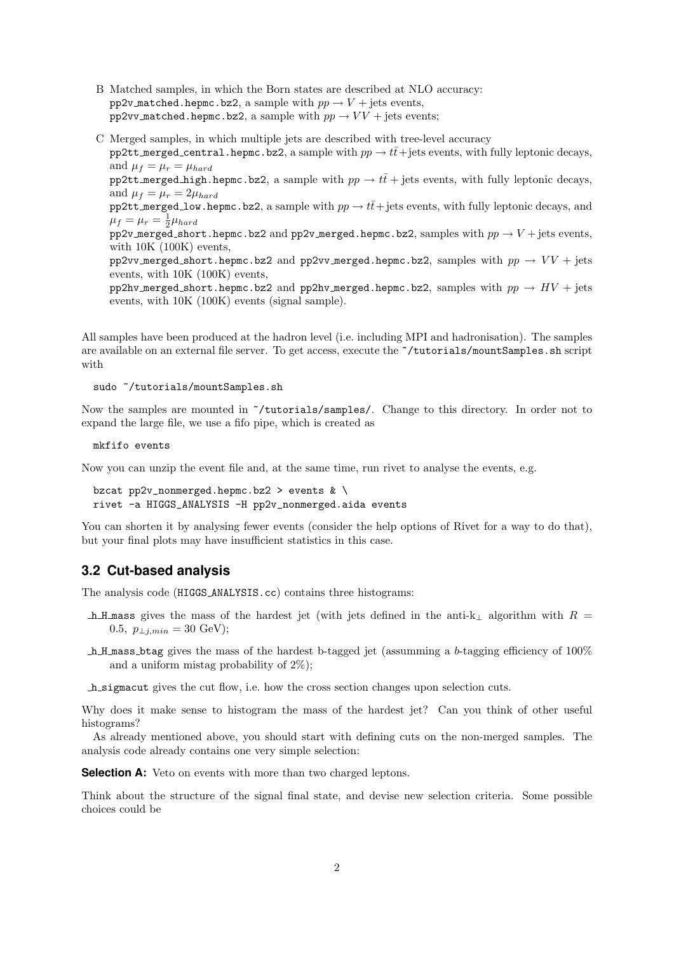- B Matched samples, in which the Born states are described at NLO accuracy: pp2v\_matched.hepmc.bz2, a sample with  $pp \rightarrow V +$  jets events, pp2vv\_matched.hepmc.bz2, a sample with  $pp \rightarrow VV + \text{jets}$  events;
- C Merged samples, in which multiple jets are described with tree-level accuracy pp2tt merged central.hepmc.bz2, a sample with  $pp \to t\bar{t}$ + jets events, with fully leptonic decays, and  $\mu_f = \mu_r = \mu_{hard}$

pp2tt merged high.hepmc.bz2, a sample with  $pp \to t\bar{t}$  + jets events, with fully leptonic decays, and  $\mu_f = \mu_r = 2\mu_{hard}$ 

pp2tt merged low.hepmc.bz2, a sample with  $pp \rightarrow t\bar{t}$  + jets events, with fully leptonic decays, and  $\mu_f = \mu_r = \frac{1}{2}\mu_{hard}$ 

pp2v merged short.hepmc.bz2 and pp2v merged.hepmc.bz2, samples with  $pp \rightarrow V +$  jets events, with  $10K (100K)$  events,

pp2vv merged short.hepmc.bz2 and pp2vv merged.hepmc.bz2, samples with  $pp \rightarrow VV +$  jets events, with 10K (100K) events,

pp2hv\_merged\_short.hepmc.bz2 and pp2hv\_merged.hepmc.bz2, samples with  $pp \rightarrow HV + \text{jets}$ events, with 10K (100K) events (signal sample).

All samples have been produced at the hadron level (i.e. including MPI and hadronisation). The samples are available on an external file server. To get access, execute the ~/tutorials/mountSamples.sh script with

sudo ~/tutorials/mountSamples.sh

Now the samples are mounted in ~/tutorials/samples/. Change to this directory. In order not to expand the large file, we use a fifo pipe, which is created as

mkfifo events

Now you can unzip the event file and, at the same time, run rivet to analyse the events, e.g.

```
bzcat pp2v_nonmerged.hepmc.bz2 > events k \backslashrivet -a HIGGS_ANALYSIS -H pp2v_nonmerged.aida events
```
You can shorten it by analysing fewer events (consider the help options of Rivet for a way to do that), but your final plots may have insufficient statistics in this case.

#### **3.2 Cut-based analysis**

The analysis code (HIGGS ANALYSIS.cc) contains three histograms:

- h H mass gives the mass of the hardest jet (with jets defined in the anti-k<sub>⊥</sub> algorithm with  $R =$ 0.5,  $p_{\perp i,min} = 30$  GeV);
- h H mass btag gives the mass of the hardest b-tagged jet (assumming a b-tagging efficiency of  $100\%$ and a uniform mistag probability of 2%);
- h sigmacut gives the cut flow, i.e. how the cross section changes upon selection cuts.

Why does it make sense to histogram the mass of the hardest jet? Can you think of other useful histograms?

As already mentioned above, you should start with defining cuts on the non-merged samples. The analysis code already contains one very simple selection:

**Selection A:** Veto on events with more than two charged leptons.

Think about the structure of the signal final state, and devise new selection criteria. Some possible choices could be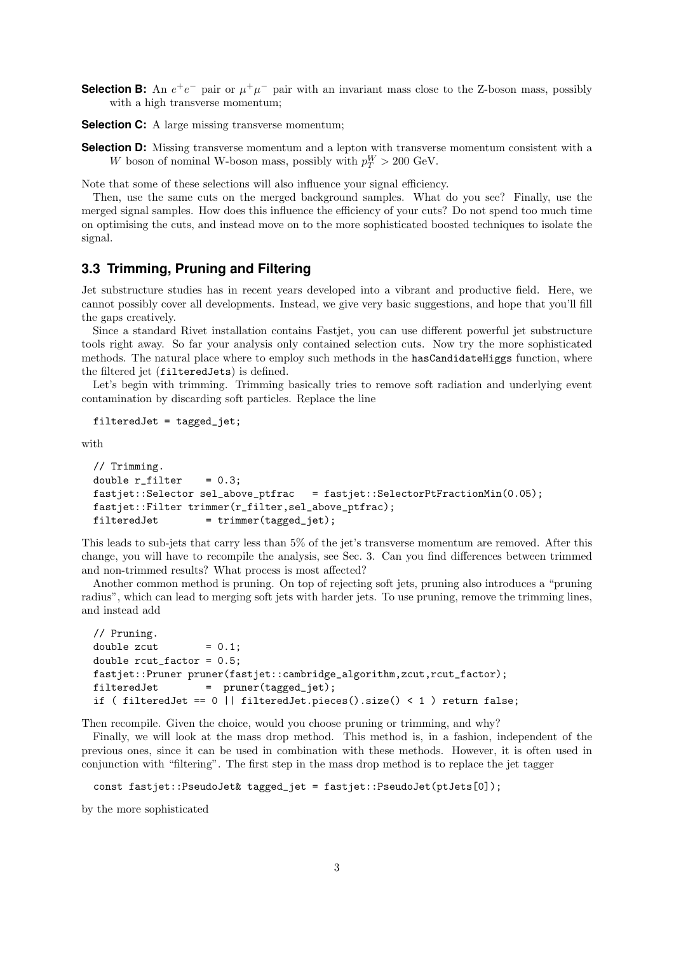- **Selection B:** An  $e^+e^-$  pair or  $\mu^+\mu^-$  pair with an invariant mass close to the Z-boson mass, possibly with a high transverse momentum;
- **Selection C:** A large missing transverse momentum;
- **Selection D:** Missing transverse momentum and a lepton with transverse momentum consistent with a W boson of nominal W-boson mass, possibly with  $p_T^W > 200 \text{ GeV}$ .

Note that some of these selections will also influence your signal efficiency.

Then, use the same cuts on the merged background samples. What do you see? Finally, use the merged signal samples. How does this influence the efficiency of your cuts? Do not spend too much time on optimising the cuts, and instead move on to the more sophisticated boosted techniques to isolate the signal.

#### **3.3 Trimming, Pruning and Filtering**

Jet substructure studies has in recent years developed into a vibrant and productive field. Here, we cannot possibly cover all developments. Instead, we give very basic suggestions, and hope that you'll fill the gaps creatively.

Since a standard Rivet installation contains Fastjet, you can use different powerful jet substructure tools right away. So far your analysis only contained selection cuts. Now try the more sophisticated methods. The natural place where to employ such methods in the hasCandidateHiggs function, where the filtered jet (filteredJets) is defined.

Let's begin with trimming. Trimming basically tries to remove soft radiation and underlying event contamination by discarding soft particles. Replace the line

filteredJet = tagged\_jet;

with

```
// Trimming.
double r_filter = 0.3;
fastjet::Selector sel_above_ptfrac = fastjet::SelectorPtFractionMin(0.05);
fastjet::Filter trimmer(r_filter,sel_above_ptfrac);
filteredJet = trimmer(tagger\_jet);
```
This leads to sub-jets that carry less than 5% of the jet's transverse momentum are removed. After this change, you will have to recompile the analysis, see Sec. 3. Can you find differences between trimmed and non-trimmed results? What process is most affected?

Another common method is pruning. On top of rejecting soft jets, pruning also introduces a "pruning radius", which can lead to merging soft jets with harder jets. To use pruning, remove the trimming lines, and instead add

```
// Pruning.
double zcut = 0.1;
double rcut_factor = 0.5;
fastjet::Pruner pruner(fastjet::cambridge_algorithm,zcut,rcut_factor);
filteredJet = pruner(tagger\_jet);if ( filteredJet == 0 || filteredJet.pieces().size() < 1 ) return false;
```
Then recompile. Given the choice, would you choose pruning or trimming, and why?

Finally, we will look at the mass drop method. This method is, in a fashion, independent of the previous ones, since it can be used in combination with these methods. However, it is often used in conjunction with "filtering". The first step in the mass drop method is to replace the jet tagger

```
const fastjet::PseudoJet& tagged_jet = fastjet::PseudoJet(ptJets[0]);
```
by the more sophisticated